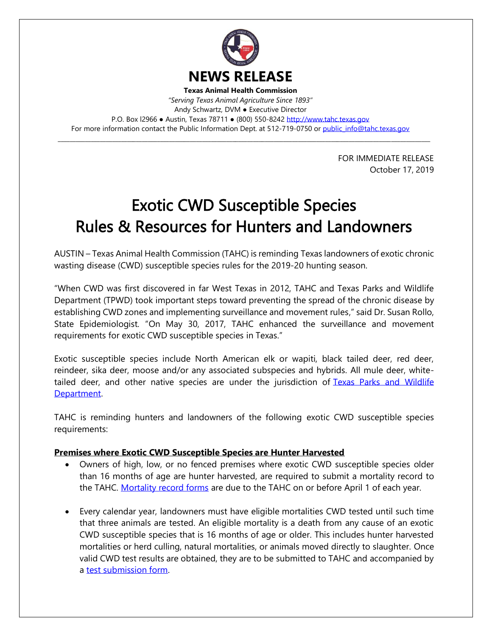

*"Serving Texas Animal Agriculture Since 1893"* Andy Schwartz, DVM ● Executive Director P.O. Box l2966 · Austin, Texas 78711 · (800) 550-8242 [http://www.tahc.texas.gov](http://www.tahc.texas.gov/) For more information contact the Public Information Dept. at 512-719-0750 or [public\\_info@tahc.texas.gov](mailto:public_info@tahc.texas.gov)

\_\_\_\_\_\_\_\_\_\_\_\_\_\_\_\_\_\_\_\_\_\_\_\_\_\_\_\_\_\_\_\_\_\_\_\_\_\_\_\_\_\_\_\_\_\_\_\_\_\_\_\_\_\_\_\_\_\_\_\_\_\_\_\_\_\_\_\_\_\_\_\_\_\_\_\_\_\_\_\_\_\_\_\_\_\_\_\_\_\_\_\_\_\_\_\_\_\_\_\_\_\_\_\_\_\_\_\_\_\_\_\_\_\_\_\_\_\_\_\_\_\_\_\_

FOR IMMEDIATE RELEASE October 17, 2019

## Exotic CWD Susceptible Species Rules & Resources for Hunters and Landowners

AUSTIN – Texas Animal Health Commission (TAHC) is reminding Texas landowners of exotic chronic wasting disease (CWD) susceptible species rules for the 2019-20 hunting season.

"When CWD was first discovered in far West Texas in 2012, TAHC and Texas Parks and Wildlife Department (TPWD) took important steps toward preventing the spread of the chronic disease by establishing CWD zones and implementing surveillance and movement rules," said Dr. Susan Rollo, State Epidemiologist. "On May 30, 2017, TAHC enhanced the surveillance and movement requirements for exotic CWD susceptible species in Texas."

Exotic susceptible species include North American elk or wapiti, black tailed deer, red deer, reindeer, sika deer, moose and/or any associated subspecies and hybrids. All mule deer, whitetailed deer, and other native species are under the jurisdiction of Texas Parks and Wildlife [Department.](http://tpwd.texas.gov/huntwild/wild/diseases/cwd/)

TAHC is reminding hunters and landowners of the following exotic CWD susceptible species requirements:

## **Premises where Exotic CWD Susceptible Species are Hunter Harvested**

- Owners of high, low, or no fenced premises where exotic CWD susceptible species older than 16 months of age are hunter harvested, are required to submit a mortality record to the TAHC. [Mortality record forms](https://www.tahc.texas.gov/animal_health/elk-deer/PDF/17-10_ExoticCWDSusceptibleSpeciesMortalityRecord.pdf) are due to the TAHC on or before April 1 of each year.
- Every calendar year, landowners must have eligible mortalities CWD tested until such time that three animals are tested. An eligible mortality is a death from any cause of an exotic CWD susceptible species that is 16 months of age or older. This includes hunter harvested mortalities or herd culling, natural mortalities, or animals moved directly to slaughter. Once valid CWD test results are obtained, they are to be submitted to TAHC and accompanied by a [test submission form.](https://www.tahc.texas.gov/animal_health/elk-deer/PDF/17-11_ExoticCWDSusceptibleSpeciesTestSubmission.pdf)